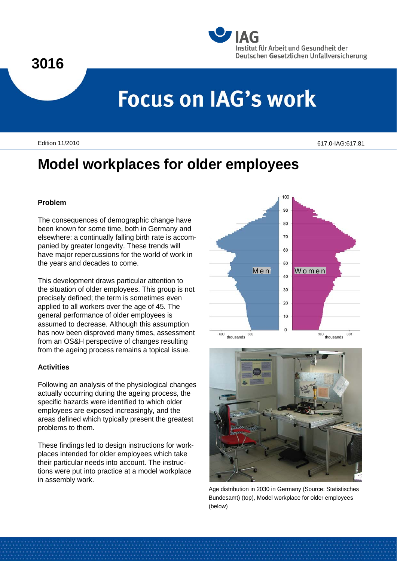### **3016**



# **Focus on IAG's work**

Edition 11/2010 617.0-IAG:617.81

## **Model workplaces for older employees**

#### **Problem**

The consequences of demographic change have been known for some time, both in Germany and elsewhere: a continually falling birth rate is accompanied by greater longevity. These trends will have major repercussions for the world of work in the years and decades to come.

This development draws particular attention to the situation of older employees. This group is not precisely defined; the term is sometimes even applied to all workers over the age of 45. The general performance of older employees is assumed to decrease. Although this assumption has now been disproved many times, assessment from an OS&H perspective of changes resulting from the ageing process remains a topical issue.

#### **Activities**

Following an analysis of the physiological changes actually occurring during the ageing process, the specific hazards were identified to which older employees are exposed increasingly, and the areas defined which typically present the greatest problems to them.

These findings led to design instructions for workplaces intended for older employees which take their particular needs into account. The instructions were put into practice at a model workplace in assembly work.





Age distribution in 2030 in Germany (Source: Statistisches Bundesamt) (top), Model workplace for older employees (below)